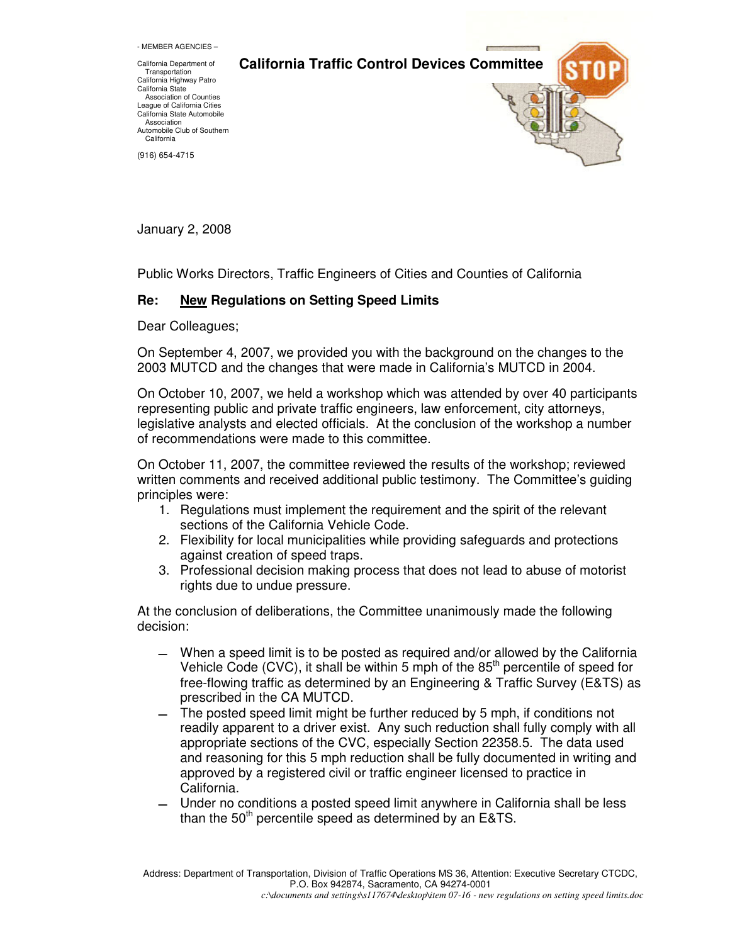- MEMBER AGENCIES –

**California Traffic Control Devices Committee** 

California Department of Transportation California Highway Patro California State Association of Counties League of California Cities California State Automobile Association Automobile Club of Southern **California** 

(916) 654-4715

January 2, 2008

Public Works Directors, Traffic Engineers of Cities and Counties of California

## **Re: New Regulations on Setting Speed Limits**

Dear Colleagues;

On September 4, 2007, we provided you with the background on the changes to the 2003 MUTCD and the changes that were made in California's MUTCD in 2004.

On October 10, 2007, we held a workshop which was attended by over 40 participants representing public and private traffic engineers, law enforcement, city attorneys, legislative analysts and elected officials. At the conclusion of the workshop a number of recommendations were made to this committee.

On October 11, 2007, the committee reviewed the results of the workshop; reviewed written comments and received additional public testimony. The Committee's guiding principles were:

- 1. Regulations must implement the requirement and the spirit of the relevant sections of the California Vehicle Code.
- 2. Flexibility for local municipalities while providing safeguards and protections against creation of speed traps.
- 3. Professional decision making process that does not lead to abuse of motorist rights due to undue pressure.

At the conclusion of deliberations, the Committee unanimously made the following decision:

- When a speed limit is to be posted as required and/or allowed by the California Vehicle Code (CVC), it shall be within 5 mph of the  $85<sup>th</sup>$  percentile of speed for free-flowing traffic as determined by an Engineering & Traffic Survey (E&TS) as prescribed in the CA MUTCD.
- The posted speed limit might be further reduced by 5 mph, if conditions not readily apparent to a driver exist. Any such reduction shall fully comply with all appropriate sections of the CVC, especially Section 22358.5. The data used and reasoning for this 5 mph reduction shall be fully documented in writing and approved by a registered civil or traffic engineer licensed to practice in California.
- Under no conditions a posted speed limit anywhere in California shall be less than the  $50<sup>th</sup>$  percentile speed as determined by an E&TS.